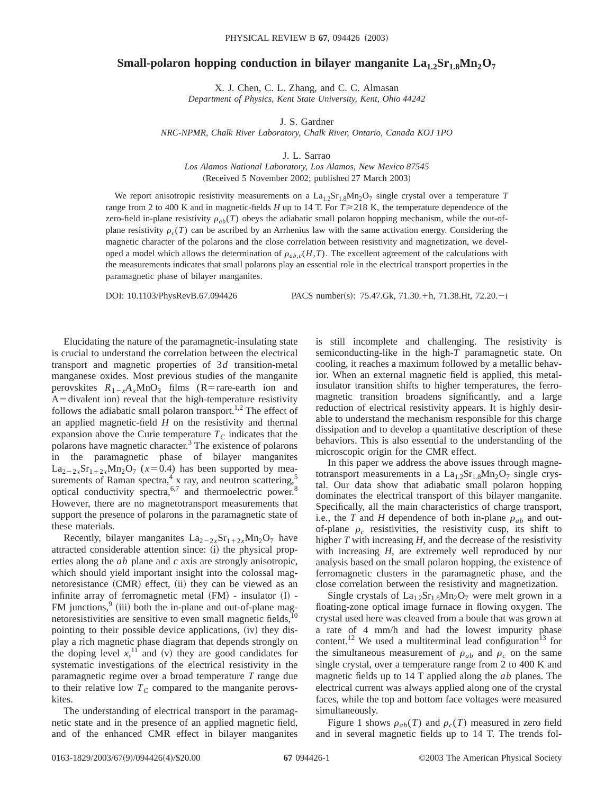## **Small-polaron hopping conduction in bilayer manganite**  $La_{1,2}Sr_{1,8}Mn_2O_7$

X. J. Chen, C. L. Zhang, and C. C. Almasan *Department of Physics, Kent State University, Kent, Ohio 44242*

J. S. Gardner

*NRC-NPMR, Chalk River Laboratory, Chalk River, Ontario, Canada KOJ 1PO*

J. L. Sarrao

*Los Alamos National Laboratory, Los Alamos, New Mexico 87545* (Received 5 November 2002; published 27 March 2003)

We report anisotropic resistivity measurements on a  $La<sub>1.2</sub>Sr<sub>1.8</sub>Mn<sub>2</sub>O<sub>7</sub>$  single crystal over a temperature *T* range from 2 to 400 K and in magnetic-fields *H* up to 14 T. For  $T \ge 218$  K, the temperature dependence of the zero-field in-plane resistivity  $\rho_{ab}(T)$  obeys the adiabatic small polaron hopping mechanism, while the out-ofplane resistivity  $\rho_c(T)$  can be ascribed by an Arrhenius law with the same activation energy. Considering the magnetic character of the polarons and the close correlation between resistivity and magnetization, we developed a model which allows the determination of  $\rho_{ab,c}(H,T)$ . The excellent agreement of the calculations with the measurements indicates that small polarons play an essential role in the electrical transport properties in the paramagnetic phase of bilayer manganites.

DOI: 10.1103/PhysRevB.67.094426 PACS number(s): 75.47.Gk, 71.30.+h, 71.38.Ht, 72.20.-i

Elucidating the nature of the paramagnetic-insulating state is crucial to understand the correlation between the electrical transport and magnetic properties of 3*d* transition-metal manganese oxides. Most previous studies of the manganite perovskites  $R_{1-x}A_xMnO_3$  films (R=rare-earth ion and  $A =$ divalent ion) reveal that the high-temperature resistivity follows the adiabatic small polaron transport.<sup>1,2</sup> The effect of an applied magnetic-field *H* on the resistivity and thermal expansion above the Curie temperature  $T_c$  indicates that the polarons have magnetic character.<sup>3</sup> The existence of polarons in the paramagnetic phase of bilayer manganites  $La_{2-2x}Sr_{1+2x}Mn_2O_7$  ( $x=0.4$ ) has been supported by measurements of Raman spectra,<sup>4</sup> x ray, and neutron scattering,<sup>5</sup> optical conductivity spectra, $6,7$  and thermoelectric power. $8$ However, there are no magnetotransport measurements that support the presence of polarons in the paramagnetic state of these materials.

Recently, bilayer manganites  $La_{2-2x}Sr_{1+2x}Mn_2O_7$  have attracted considerable attention since: (i) the physical properties along the *ab* plane and *c* axis are strongly anisotropic, which should yield important insight into the colossal magnetoresistance  $(CMR)$  effect,  $(ii)$  they can be viewed as an infinite array of ferromagnetic metal  $(FM)$  - insulator  $(I)$  - $FM$  junctions,  $9$  (iii) both the in-plane and out-of-plane magnetoresistivities are sensitive to even small magnetic fields, $10$ pointing to their possible device applications, (iv) they display a rich magnetic phase diagram that depends strongly on the doping level  $x$ ,<sup>11</sup> and (v) they are good candidates for systematic investigations of the electrical resistivity in the paramagnetic regime over a broad temperature *T* range due to their relative low  $T_c$  compared to the manganite perovskites.

The understanding of electrical transport in the paramagnetic state and in the presence of an applied magnetic field, and of the enhanced CMR effect in bilayer manganites is still incomplete and challenging. The resistivity is semiconducting-like in the high-*T* paramagnetic state. On cooling, it reaches a maximum followed by a metallic behavior. When an external magnetic field is applied, this metalinsulator transition shifts to higher temperatures, the ferromagnetic transition broadens significantly, and a large reduction of electrical resistivity appears. It is highly desirable to understand the mechanism responsible for this charge dissipation and to develop a quantitative description of these behaviors. This is also essential to the understanding of the microscopic origin for the CMR effect.

In this paper we address the above issues through magnetotransport measurements in a  $La<sub>1.2</sub>Sr<sub>1.8</sub>Mn<sub>2</sub>O<sub>7</sub>$  single crystal. Our data show that adiabatic small polaron hopping dominates the electrical transport of this bilayer manganite. Specifically, all the main characteristics of charge transport, i.e., the *T* and *H* dependence of both in-plane  $\rho_{ab}$  and outof-plane  $\rho_c$  resistivities, the resistivity cusp, its shift to higher *T* with increasing *H*, and the decrease of the resistivity with increasing *H*, are extremely well reproduced by our analysis based on the small polaron hopping, the existence of ferromagnetic clusters in the paramagnetic phase, and the close correlation between the resistivity and magnetization.

Single crystals of  $La<sub>1.2</sub>Sr<sub>1.8</sub>Mn<sub>2</sub>O<sub>7</sub>$  were melt grown in a floating-zone optical image furnace in flowing oxygen. The crystal used here was cleaved from a boule that was grown at a rate of 4 mm/h and had the lowest impurity phase content.<sup>12</sup> We used a multiterminal lead configuration<sup>13</sup> for the simultaneous measurement of  $\rho_{ab}$  and  $\rho_c$  on the same single crystal, over a temperature range from 2 to 400 K and magnetic fields up to 14 T applied along the *ab* planes. The electrical current was always applied along one of the crystal faces, while the top and bottom face voltages were measured simultaneously.

Figure 1 shows  $\rho_{ab}(T)$  and  $\rho_c(T)$  measured in zero field and in several magnetic fields up to 14 T. The trends fol-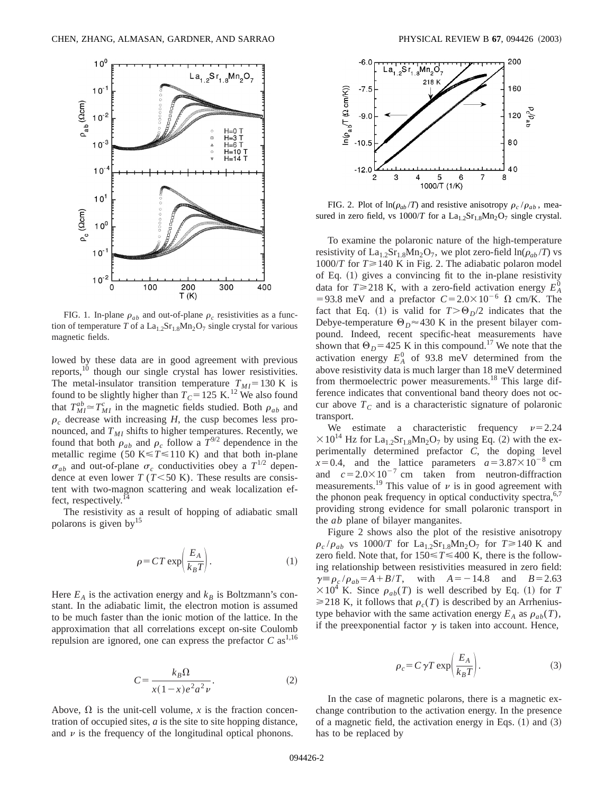

FIG. 1. In-plane  $\rho_{ab}$  and out-of-plane  $\rho_c$  resistivities as a function of temperature *T* of a  $La_{1.2}Sr_{1.8}Mn_2O_7$  single crystal for various magnetic fields.

lowed by these data are in good agreement with previous reports,<sup>10</sup> though our single crystal has lower resistivities. The metal-insulator transition temperature  $T_{MI}$ =130 K is found to be slightly higher than  $T_c$ =125 K.<sup>12</sup> We also found that  $T_{MI}^{ab} \approx T_{MI}^c$  in the magnetic fields studied. Both  $\rho_{ab}$  and  $\rho_c$  decrease with increasing *H*, the cusp becomes less pronounced, and  $T_{MI}$  shifts to higher temperatures. Recently, we found that both  $\rho_{ab}$  and  $\rho_c$  follow a  $T^{9/2}$  dependence in the metallic regime (50 K $\leq$ *T* $\leq$  110 K) and that both in-plane  $\sigma_{ab}$  and out-of-plane  $\sigma_c$  conductivities obey a  $T^{1/2}$  dependence at even lower  $T$  ( $T$ <50 K). These results are consistent with two-magnon scattering and weak localization effect, respectively.<sup>14</sup>

The resistivity as a result of hopping of adiabatic small polarons is given by<sup>15</sup>

$$
\rho = CT \exp\left(\frac{E_A}{k_B T}\right). \tag{1}
$$

Here  $E_A$  is the activation energy and  $k_B$  is Boltzmann's constant. In the adiabatic limit, the electron motion is assumed to be much faster than the ionic motion of the lattice. In the approximation that all correlations except on-site Coulomb repulsion are ignored, one can express the prefactor  $C$  as<sup>1,16</sup>

$$
C = \frac{k_B \Omega}{x(1-x)e^2 a^2 \nu}.
$$
 (2)

Above,  $\Omega$  is the unit-cell volume, *x* is the fraction concentration of occupied sites, *a* is the site to site hopping distance, and  $\nu$  is the frequency of the longitudinal optical phonons.



FIG. 2. Plot of  $\ln(\rho_{ab}/T)$  and resistive anisotropy  $\rho_c/\rho_{ab}$ , measured in zero field, vs  $1000/T$  for a  $La<sub>1.2</sub>Sr<sub>1.8</sub>Mn<sub>2</sub>O<sub>7</sub>$  single crystal.

To examine the polaronic nature of the high-temperature resistivity of  $La_{1.2}Sr_{1.8}Mn_2O_7$ , we plot zero-field  $ln(\rho_{ab}/T)$  vs 1000/*T* for  $T \ge 140$  K in Fig. 2. The adiabatic polaron model of Eq.  $(1)$  gives a convincing fit to the in-plane resistivity data for  $T \ge 218$  K, with a zero-field activation energy  $E_A^0$ =93.8 meV and a prefactor  $C = 2.0 \times 10^{-6}$  Q cm/K. The fact that Eq. (1) is valid for  $T > \Theta_p/2$  indicates that the Debye-temperature  $\Theta_D \approx 430$  K in the present bilayer compound. Indeed, recent specific-heat measurements have shown that  $\Theta_D$ =425 K in this compound.<sup>17</sup> We note that the activation energy  $E_A^0$  of 93.8 meV determined from the above resistivity data is much larger than 18 meV determined from thermoelectric power measurements.<sup>18</sup> This large difference indicates that conventional band theory does not occur above  $T_c$  and is a characteristic signature of polaronic transport.

We estimate a characteristic frequency  $\nu=2.24$  $\times 10^{14}$  Hz for La<sub>1.2</sub>Sr<sub>1.8</sub>Mn<sub>2</sub>O<sub>7</sub> by using Eq. (2) with the experimentally determined prefactor *C*, the doping level  $x=0.4$ , and the lattice parameters  $a=3.87\times10^{-8}$  cm and  $c=2.0\times10^{-7}$  cm taken from neutron-diffraction measurements.<sup>19</sup> This value of  $\nu$  is in good agreement with the phonon peak frequency in optical conductivity spectra,  $6,7$ providing strong evidence for small polaronic transport in the *ab* plane of bilayer manganites.

Figure 2 shows also the plot of the resistive anisotropy  $\rho_c/\rho_{ab}$  vs 1000/*T* for La<sub>1.2</sub>Sr<sub>1.8</sub>Mn<sub>2</sub>O<sub>7</sub> for  $T \ge 140$  K and zero field. Note that, for  $150 \le T \le 400$  K, there is the following relationship between resistivities measured in zero field:  $\gamma \equiv \rho_c / \rho_{ab} = A + B/T$ , with  $A = -14.8$  and  $B = 2.63$  $\times 10^4$  K. Since  $\rho_{ab}(T)$  is well described by Eq. (1) for *T*  $\geq$ 218 K, it follows that  $\rho_c(T)$  is described by an Arrheniustype behavior with the same activation energy  $E_A$  as  $\rho_{ab}(T)$ , if the preexponential factor  $\gamma$  is taken into account. Hence,

$$
\rho_c = C \gamma T \exp\left(\frac{E_A}{k_B T}\right). \tag{3}
$$

In the case of magnetic polarons, there is a magnetic exchange contribution to the activation energy. In the presence of a magnetic field, the activation energy in Eqs.  $(1)$  and  $(3)$ has to be replaced by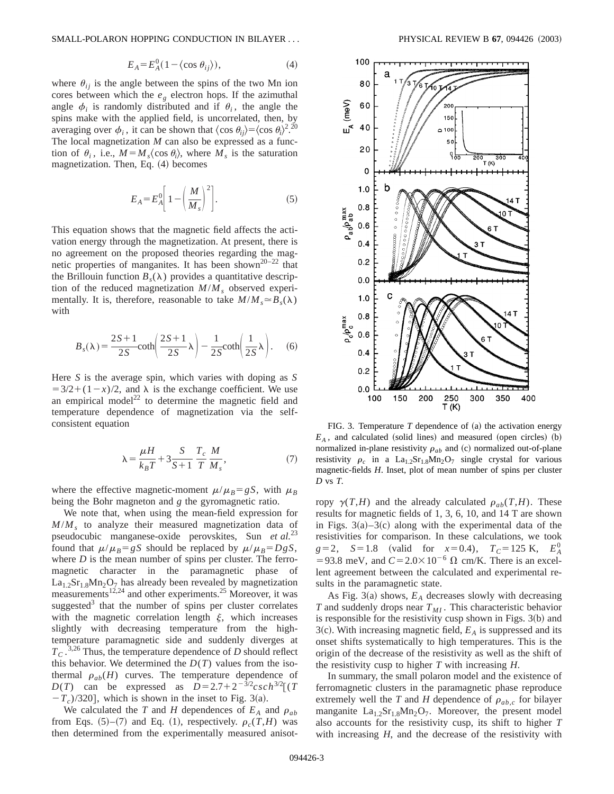SMALL-POLARON HOPPING CONDUCTION IN BILAYER . . . PHYSICAL REVIEW B **67**, 094426 ~2003!

$$
E_A = E_A^0 (1 - \langle \cos \theta_{ij} \rangle), \tag{4}
$$

where  $\theta_{ij}$  is the angle between the spins of the two Mn ion cores between which the  $e<sub>g</sub>$  electron hops. If the azimuthal angle  $\phi_i$  is randomly distributed and if  $\theta_i$ , the angle the spins make with the applied field, is uncorrelated, then, by averaging over  $\phi_i$ , it can be shown that  $\langle \cos \theta_i \rangle = \langle \cos \theta_i \rangle^{2.20}$ The local magnetization *M* can also be expressed as a function of  $\theta_i$ , i.e.,  $M = M_s \langle \cos \theta_i \rangle$ , where  $M_s$  is the saturation magnetization. Then, Eq.  $(4)$  becomes

$$
E_A = E_A^0 \left[ 1 - \left( \frac{M}{M_s} \right)^2 \right].
$$
 (5)

This equation shows that the magnetic field affects the activation energy through the magnetization. At present, there is no agreement on the proposed theories regarding the magnetic properties of manganites. It has been shown<sup>20–22</sup> that the Brillouin function  $B_s(\lambda)$  provides a quantitative description of the reduced magnetization  $M/M$ , observed experimentally. It is, therefore, reasonable to take  $M/M_s \approx B_s(\lambda)$ with

$$
B_s(\lambda) = \frac{2S+1}{2S} \coth\left(\frac{2S+1}{2S}\lambda\right) - \frac{1}{2S} \coth\left(\frac{1}{2S}\lambda\right). \tag{6}
$$

Here *S* is the average spin, which varies with doping as *S*  $=3/2+(1-x)/2$ , and  $\lambda$  is the exchange coefficient. We use an empirical model<sup>22</sup> to determine the magnetic field and temperature dependence of magnetization via the selfconsistent equation

$$
\lambda = \frac{\mu H}{k_B T} + 3\frac{S}{S+1} \frac{T_c}{T} \frac{M}{M_s},\tag{7}
$$

where the effective magnetic-moment  $\mu/\mu_B = gS$ , with  $\mu_B$ being the Bohr magneton and *g* the gyromagnetic ratio.

We note that, when using the mean-field expression for  $M/M<sub>s</sub>$  to analyze their measured magnetization data of pseudocubic manganese-oxide perovskites, Sun *et al.*<sup>23</sup> found that  $\mu/\mu_B = gS$  should be replaced by  $\mu/\mu_B = DgS$ , where *D* is the mean number of spins per cluster. The ferromagnetic character in the paramagnetic phase of  $La<sub>1.2</sub>Sr<sub>1.8</sub>Mn<sub>2</sub>O<sub>7</sub>$  has already been revealed by magnetization measurements<sup>12,24</sup> and other experiments.<sup>25</sup> Moreover, it was suggested $3$  that the number of spins per cluster correlates with the magnetic correlation length  $\xi$ , which increases slightly with decreasing temperature from the hightemperature paramagnetic side and suddenly diverges at  $T_c$ .<sup>3,26</sup> Thus, the temperature dependence of *D* should reflect this behavior. We determined the  $D(T)$  values from the isothermal  $\rho_{ab}(H)$  curves. The temperature dependence of *D*(*T*) can be expressed as  $D=2.7+2^{-3/2}csch^{3/2}[(T - 1)^{3/2}]$  $-T_c$ )/320], which is shown in the inset to Fig. 3(a).

We calculated the *T* and *H* dependences of  $E_A$  and  $\rho_{ab}$ from Eqs.  $(5)$ – $(7)$  and Eq.  $(1)$ , respectively.  $\rho_c(T,H)$  was then determined from the experimentally measured anisot-



FIG. 3. Temperature  $T$  dependence of  $(a)$  the activation energy  $E_A$ , and calculated (solid lines) and measured (open circles) (b) normalized in-plane resistivity  $\rho_{ab}$  and (c) normalized out-of-plane resistivity  $\rho_c$  in a La<sub>1.2</sub>Sr<sub>1.8</sub>Mn<sub>2</sub>O<sub>7</sub> single crystal for various magnetic-fields *H*. Inset, plot of mean number of spins per cluster *D* vs *T*.

ropy  $\gamma(T,H)$  and the already calculated  $\rho_{ab}(T,H)$ . These results for magnetic fields of 1, 3, 6, 10, and 14 T are shown in Figs.  $3(a)-3(c)$  along with the experimental data of the resistivities for comparison. In these calculations, we took  $g=2$ ,  $S=1.8$  (valid for  $x=0.4$ ),  $T_C=125$  K,  $E_A^0$ =93.8 meV, and  $C = 2.0 \times 10^{-6} \Omega$  cm/K. There is an excellent agreement between the calculated and experimental results in the paramagnetic state.

As Fig. 3(a) shows,  $E_A$  decreases slowly with decreasing *T* and suddenly drops near  $T_{MI}$ . This characteristic behavior is responsible for the resistivity cusp shown in Figs.  $3(b)$  and 3(c). With increasing magnetic field,  $E_A$  is suppressed and its onset shifts systematically to high temperatures. This is the origin of the decrease of the resistivity as well as the shift of the resistivity cusp to higher *T* with increasing *H*.

In summary, the small polaron model and the existence of ferromagnetic clusters in the paramagnetic phase reproduce extremely well the *T* and *H* dependence of  $\rho_{ab,c}$  for bilayer manganite  $La<sub>1.2</sub>Sr<sub>1.8</sub>Mn<sub>2</sub>O<sub>7</sub>$ . Moreover, the present model also accounts for the resistivity cusp, its shift to higher *T* with increasing *H*, and the decrease of the resistivity with